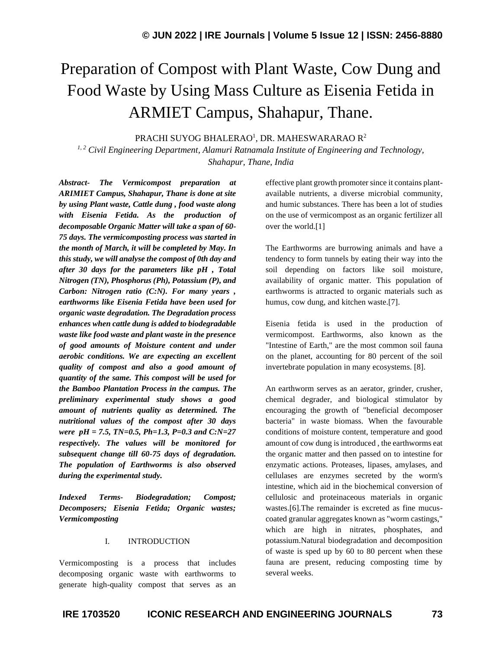# Preparation of Compost with Plant Waste, Cow Dung and Food Waste by Using Mass Culture as Eisenia Fetida in ARMIET Campus, Shahapur, Thane.

PRACHI SUYOG BHALERAO<sup>1</sup>, DR. MAHESWARARAO R<sup>2</sup>

*1, 2 Civil Engineering Department, Alamuri Ratnamala Institute of Engineering and Technology, Shahapur, Thane, India*

*Abstract- The Vermicompost preparation at ARIMIET Campus, Shahapur, Thane is done at site by using Plant waste, Cattle dung , food waste along with Eisenia Fetida. As the production of decomposable Organic Matter will take a span of 60- 75 days. The vermicomposting process was started in the month of March, it will be completed by May. In this study, we will analyse the compost of 0th day and after 30 days for the parameters like pH , Total Nitrogen (TN), Phosphorus (Ph), Potassium (P), and Carbon: Nitrogen ratio (C:N). For many years , earthworms like Eisenia Fetida have been used for organic waste degradation. The Degradation process enhances when cattle dung is added to biodegradable waste like food waste and plant waste in the presence of good amounts of Moisture content and under aerobic conditions. We are expecting an excellent quality of compost and also a good amount of quantity of the same. This compost will be used for the Bamboo Plantation Process in the campus. The preliminary experimental study shows a good amount of nutrients quality as determined. The nutritional values of the compost after 30 days were pH = 7.5, TN=0.5, Ph=1.3, P=0.3 and C:N=27 respectively. The values will be monitored for subsequent change till 60-75 days of degradation. The population of Earthworms is also observed during the experimental study.*

*Indexed Terms- Biodegradation; Compost; Decomposers; Eisenia Fetida; Organic wastes; Vermicomposting*

#### I. INTRODUCTION

Vermicomposting is a process that includes decomposing organic waste with earthworms to generate high-quality compost that serves as an effective plant growth promoter since it contains plantavailable nutrients, a diverse microbial community, and humic substances. There has been a lot of studies on the use of vermicompost as an organic fertilizer all over the world.[1]

The Earthworms are burrowing animals and have a tendency to form tunnels by eating their way into the soil depending on factors like soil moisture, availability of organic matter. This population of earthworms is attracted to organic materials such as humus, cow dung, and kitchen waste.[7].

Eisenia fetida is used in the production of vermicompost. Earthworms, also known as the "Intestine of Earth," are the most common soil fauna on the planet, accounting for 80 percent of the soil invertebrate population in many ecosystems. [8].

An earthworm serves as an aerator, grinder, crusher, chemical degrader, and biological stimulator by encouraging the growth of "beneficial decomposer bacteria" in waste biomass. When the favourable conditions of moisture content, temperature and good amount of cow dung is introduced , the earthworms eat the organic matter and then passed on to intestine for enzymatic actions. Proteases, lipases, amylases, and cellulases are enzymes secreted by the worm's intestine, which aid in the biochemical conversion of cellulosic and proteinaceous materials in organic wastes.[6].The remainder is excreted as fine mucuscoated granular aggregates known as "worm castings," which are high in nitrates, phosphates, and potassium.Natural biodegradation and decomposition of waste is sped up by 60 to 80 percent when these fauna are present, reducing composting time by several weeks.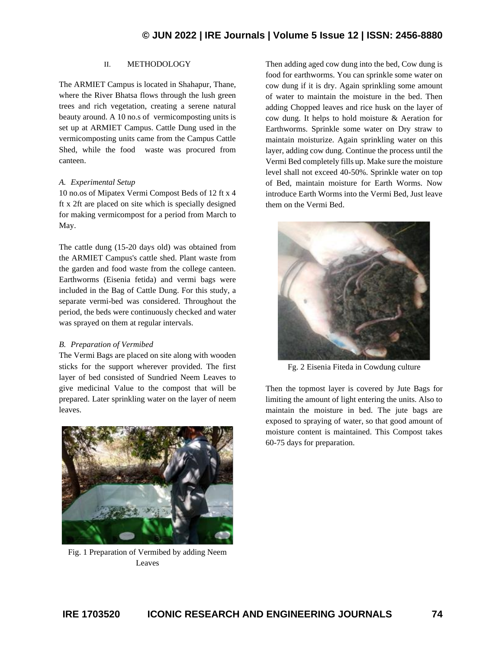# II. METHODOLOGY

The ARMIET Campus is located in Shahapur, Thane, where the River Bhatsa flows through the lush green trees and rich vegetation, creating a serene natural beauty around. A 10 no.s of vermicomposting units is set up at ARMIET Campus. Cattle Dung used in the vermicomposting units came from the Campus Cattle Shed, while the food waste was procured from canteen.

#### *A. Experimental Setup*

10 no.os of Mipatex Vermi Compost Beds of 12 ft x 4 ft x 2ft are placed on site which is specially designed for making vermicompost for a period from March to May.

The cattle dung (15-20 days old) was obtained from the ARMIET Campus's cattle shed. Plant waste from the garden and food waste from the college canteen. Earthworms (Eisenia fetida) and vermi bags were included in the Bag of Cattle Dung. For this study, a separate vermi-bed was considered. Throughout the period, the beds were continuously checked and water was sprayed on them at regular intervals.

## *B. Preparation of Vermibed*

The Vermi Bags are placed on site along with wooden sticks for the support wherever provided. The first layer of bed consisted of Sundried Neem Leaves to give medicinal Value to the compost that will be prepared. Later sprinkling water on the layer of neem leaves.



Fig. 1 Preparation of Vermibed by adding Neem Leaves

Then adding aged cow dung into the bed, Cow dung is food for earthworms. You can sprinkle some water on cow dung if it is dry. Again sprinkling some amount of water to maintain the moisture in the bed. Then adding Chopped leaves and rice husk on the layer of cow dung. It helps to hold moisture & Aeration for Earthworms. Sprinkle some water on Dry straw to maintain moisturize. Again sprinkling water on this layer, adding cow dung. Continue the process until the Vermi Bed completely fills up. Make sure the moisture level shall not exceed 40-50%. Sprinkle water on top of Bed, maintain moisture for Earth Worms. Now introduce Earth Worms into the Vermi Bed, Just leave them on the Vermi Bed.



Fg. 2 Eisenia Fiteda in Cowdung culture

Then the topmost layer is covered by Jute Bags for limiting the amount of light entering the units. Also to maintain the moisture in bed. The jute bags are exposed to spraying of water, so that good amount of moisture content is maintained. This Compost takes 60-75 days for preparation.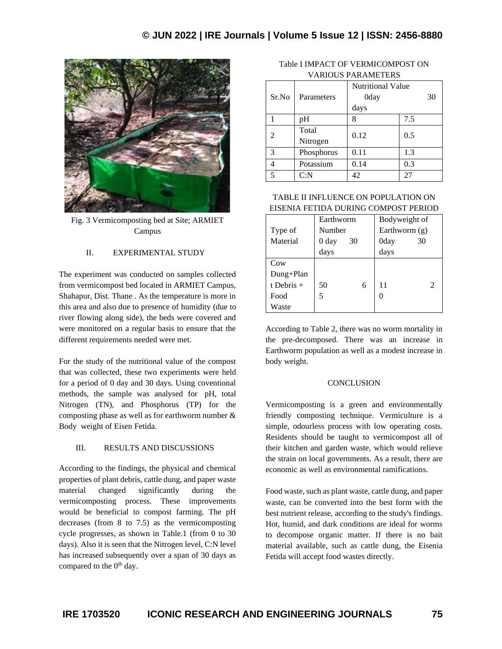

Fig. 3 Vermicomposting bed at Site; ARMIET Campus

# II. EXPERIMENTAL STUDY

The experiment was conducted on samples collected from vermicompost bed located in ARMIET Campus, Shahapur, Dist. Thane . As the temperature is more in this area and also due to presence of humidity (due to river flowing along side), the beds were covered and were monitored on a regular basis to ensure that the different requirements needed were met.

For the study of the nutritional value of the compost that was collected, these two experiments were held for a period of 0 day and 30 days. Using coventional methods, the sample was analysed for pH, total Nitrogen (TN), and Phosphorus (TP) for the composting phase as well as for earthworm number & Body weight of Eisen Fetida.

## III. RESULTS AND DISCUSSIONS

According to the findings, the physical and chemical properties of plant debris, cattle dung, and paper waste material changed significantly during the vermicomposting process. These improvements would be beneficial to compost farming. The pH decreases (from 8 to 7.5) as the vermicomposting cycle progresses, as shown in Table.1 (from 0 to 30 days). Also it is seen that the Nitrogen level, C:N level has increased subsequently over a span of 30 days as compared to the 0<sup>th</sup> day.

| Table I IMPACT OF VERMICOMPOST ON |
|-----------------------------------|
| <b>VARIOUS PARAMETERS</b>         |

|                          |            | <b>Nutritional Value</b> |     |
|--------------------------|------------|--------------------------|-----|
| Sr.No                    | Parameters | 0day                     | 30  |
|                          |            | days                     |     |
|                          | pH         | 8                        | 7.5 |
| $\mathfrak{D}$           | Total      | 0.12                     | 0.5 |
|                          | Nitrogen   |                          |     |
| 3                        | Phosphorus | 0.11                     | 1.3 |
|                          | Potassium  | 0.14                     | 0.3 |
| $\overline{\mathcal{L}}$ | C: N       | 42                       | 27  |

TABLE II INFLUENCE ON POPULATION ON EISENIA FETIDA DURING COMPOST PERIOD

|              | Earthworm |    | Bodyweight of   |               |                |
|--------------|-----------|----|-----------------|---------------|----------------|
| Type of      | Number    |    | Earthworm $(g)$ |               |                |
| Material     | 0 day     | 30 |                 | 0day          | 30             |
|              | days      |    |                 | days          |                |
| Cow          |           |    |                 |               |                |
| Dung+Plan    |           |    |                 |               |                |
| t Debris $+$ | 50        |    | 6               | 11            | $\mathfrak{D}$ |
| Food         |           |    |                 | $\mathcal{L}$ |                |
| Waste        |           |    |                 |               |                |

According to Table 2, there was no worm mortality in the pre-decomposed. There was an increase in Earthworm population as well as a modest increase in body weight.

#### **CONCLUSION**

Vermicomposting is a green and environmentally friendly composting technique. Vermiculture is a simple, odourless process with low operating costs. Residents should be taught to vermicompost all of their kitchen and garden waste, which would relieve the strain on local governments. As a result, there are economic as well as environmental ramifications.

Food waste, such as plant waste, cattle dung, and paper waste, can be converted into the best form with the best nutrient release, according to the study's findings. Hot, humid, and dark conditions are ideal for worms to decompose organic matter. If there is no bait material available, such as cattle dung, the Eisenia Fetida will accept food wastes directly.